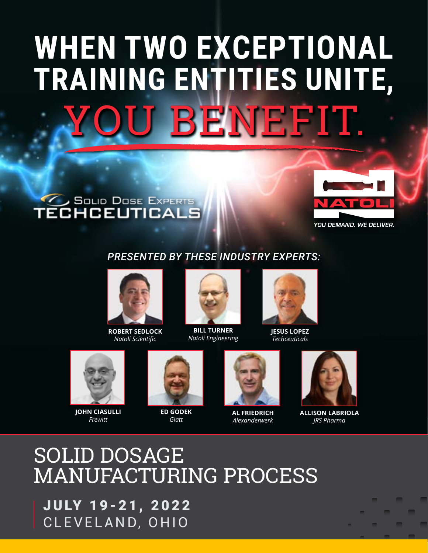# **J BENEFIT. WHEN TWO EXCEPTIONAL TRAINING ENTITIES UNITE,**





### *PRESENTED BY THESE INDUSTRY EXPERTS:*



**ROBERT SEDLOCK** *Natoli Scientific*



**BILL TURNER** *Natoli Engineering*



**JESUS LOPEZ** *Techceuticals*



**JOHN CIASULLI** *Frewitt*



**ED GODEK** *Glatt*



**AL FRIEDRICH** *Alexanderwerk*



**ALLISON LABRIOLA** *JRS Pharma*

## SOLID DOSAGE MANUFACTURING PROCESS

JULY 19-21, 2022 CLEVELAND, OHIO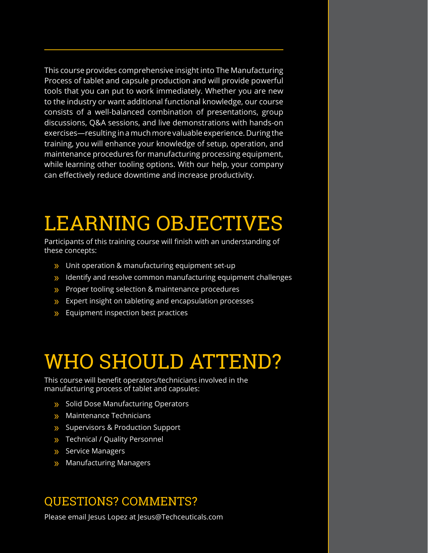This course provides comprehensive insight into The Manufacturing Process of tablet and capsule production and will provide powerful tools that you can put to work immediately. Whether you are new to the industry or want additional functional knowledge, our course consists of a well-balanced combination of presentations, group discussions, Q&A sessions, and live demonstrations with hands-on exercises—resulting in a much more valuable experience. During the training, you will enhance your knowledge of setup, operation, and maintenance procedures for manufacturing processing equipment, while learning other tooling options. With our help, your company can effectively reduce downtime and increase productivity.

## LEARNING OBJECTIVES

Participants of this training course will finish with an understanding of these concepts:

- » Unit operation & manufacturing equipment set-up
- » Identify and resolve common manufacturing equipment challenges
- » Proper tooling selection & maintenance procedures
- » Expert insight on tableting and encapsulation processes
- » Equipment inspection best practices

## WHO SHOULD ATTEND?

This course will benefit operators/technicians involved in the manufacturing process of tablet and capsules:

- » Solid Dose Manufacturing Operators
- » Maintenance Technicians
- » Supervisors & Production Support
- » Technical / Quality Personnel
- » Service Managers
- » Manufacturing Managers

## QUESTIONS? COMMENTS?

Please email Jesus Lopez at Jesus@Techceuticals.com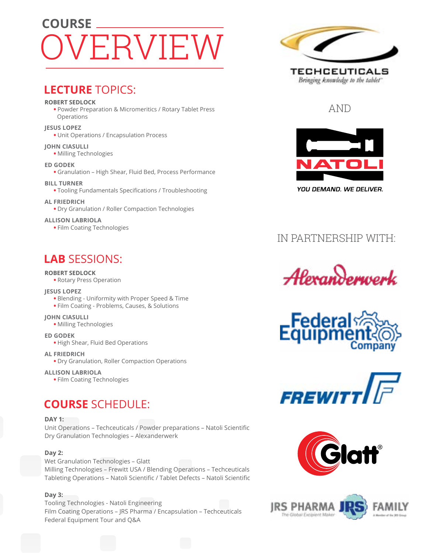## VERVIEW **COURSE**

### **LECTURE** TOPICS:

#### **ROBERT SEDLOCK**

**•** Powder Preparation & Micromeritics / Rotary Tablet Press Operations

#### **JESUS LOPEZ**

**•** Unit Operations / Encapsulation Process

#### **JOHN CIASULLI**

**•** Milling Technologies

#### **ED GODEK**

**•** Granulation – High Shear, Fluid Bed, Process Performance

#### **BILL TURNER**

**•** Tooling Fundamentals Specifications / Troubleshooting

#### **AL FRIEDRICH**

**•** Dry Granulation / Roller Compaction Technologies

#### **ALLISON LABRIOLA**

**•** Film Coating Technologies

## **LAB** SESSIONS:

#### **ROBERT SEDLOCK**

**•** Rotary Press Operation

#### **JESUS LOPEZ**

- Blending Uniformity with Proper Speed & Time
- Film Coating Problems, Causes, & Solutions

#### **JOHN CIASULLI**

**•** Milling Technologies

**ED GODEK**

**•** High Shear, Fluid Bed Operations

#### **AL FRIEDRICH**

**•** Dry Granulation, Roller Compaction Operations

#### **ALLISON LABRIOLA**

**•** Film Coating Technologies

## **COURSE** SCHEDULE:

#### **DAY 1:**

Unit Operations – Techceuticals / Powder preparations – Natoli Scientific Dry Granulation Technologies – Alexanderwerk

#### **Day 2:**

Wet Granulation Technologies – Glatt Milling Technologies – Frewitt USA / Blending Operations – Techceuticals Tableting Operations – Natoli Scientific / Tablet Defects – Natoli Scientific

#### **Day 3:**

Tooling Technologies - Natoli Engineering Film Coating Operations – JRS Pharma / Encapsulation – Techceuticals Federal Equipment Tour and Q&A



### AND



## IN PARTNERSHIP WITH:









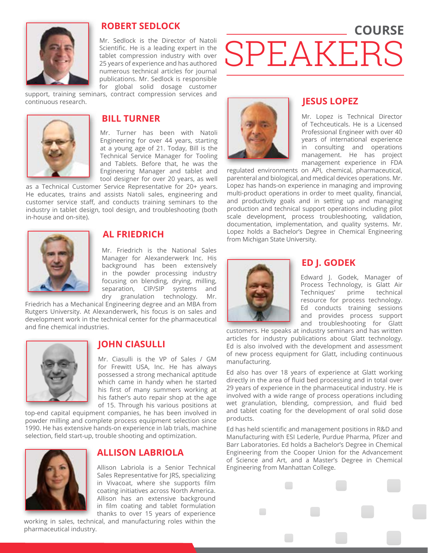

#### **ROBERT SEDLOCK**

Mr. Sedlock is the Director of Natoli Scientific. He is a leading expert in the tablet compression industry with over 25 years of experience and has authored numerous technical articles for journal publications. Mr. Sedlock is responsible for global solid dosage customer

support, training seminars, contract compression services and continuous research.



#### **BILL TURNER**

Mr. Turner has been with Natoli Engineering for over 44 years, starting at a young age of 21. Today, Bill is the Technical Service Manager for Tooling and Tablets. Before that, he was the Engineering Manager and tablet and tool designer for over 20 years, as well

as a Technical Customer Service Representative for 20+ years. He educates, trains and assists Natoli sales, engineering and customer service staff, and conducts training seminars to the industry in tablet design, tool design, and troubleshooting (both in-house and on-site).



#### **AL FRIEDRICH**

Mr. Friedrich is the National Sales Manager for Alexanderwerk Inc. His background has been extensively in the powder processing industry focusing on blending, drying, milling, separation, CIP/SIP systems and dry granulation technology. Mr.

Friedrich has a Mechanical Engineering degree and an MBA from Rutgers University. At Alexanderwerk, his focus is on sales and development work in the technical center for the pharmaceutical and fine chemical industries.



#### **JOHN CIASULLI**

Mr. Ciasulli is the VP of Sales / GM for Frewitt USA, Inc. He has always possessed a strong mechanical aptitude which came in handy when he started his first of many summers working at his father's auto repair shop at the age of 15. Through his various positions at

top-end capital equipment companies, he has been involved in powder milling and complete process equipment selection since 1990. He has extensive hands-on experience in lab trials, machine selection, field start-up, trouble shooting and optimization.



#### **ALLISON LABRIOLA**

Allison Labriola is a Senior Technical Sales Representative for JRS, specializing in Vivacoat, where she supports film coating initiatives across North America. Allison has an extensive background in film coating and tablet formulation thanks to over 15 years of experience

working in sales, technical, and manufacturing roles within the pharmaceutical industry.



#### **JESUS LOPEZ**

SPEAKERS

Mr. Lopez is Technical Director of Techceuticals. He is a Licensed Professional Engineer with over 40 years of international experience in consulting and operations management. He has project management experience in FDA

**COURSE**

regulated environments on API, chemical, pharmaceutical, parenteral and biological, and medical devices operations. Mr. Lopez has hands-on experience in managing and improving multi-product operations in order to meet quality, financial, and productivity goals and in setting up and managing production and technical support operations including pilot scale development, process troubleshooting, validation, documentation, implementation, and quality systems. Mr. Lopez holds a Bachelor's Degree in Chemical Engineering from Michigan State University.



#### **ED J. GODEK**

Edward J. Godek, Manager of Process Technology, is Glatt Air Techniques' prime technical resource for process technology. Ed conducts training sessions and provides process support and troubleshooting for Glatt

customers. He speaks at industry seminars and has written articles for industry publications about Glatt technology. Ed is also involved with the development and assessment of new process equipment for Glatt, including continuous manufacturing.

Ed also has over 18 years of experience at Glatt working directly in the area of fluid bed processing and in total over 29 years of experience in the pharmaceutical industry. He is involved with a wide range of process operations including wet granulation, blending, compression, and fluid bed and tablet coating for the development of oral solid dose products.

Ed has held scientific and management positions in R&D and Manufacturing with ESI Lederle, Purdue Pharma, Pfizer and Barr Laboratories. Ed holds a Bachelor's Degree in Chemical Engineering from the Cooper Union for the Advancement of Science and Art, and a Master's Degree in Chemical Engineering from Manhattan College.

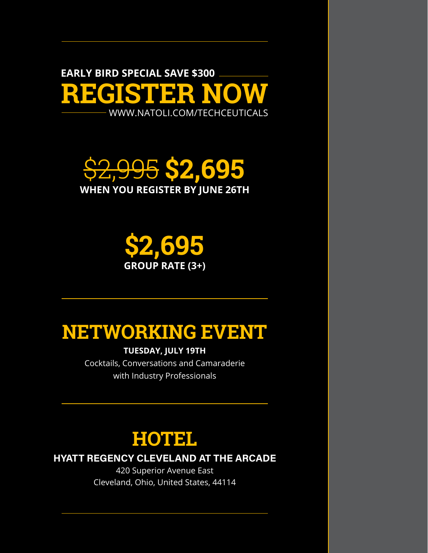**REGISTER NOW** [WWW.NATOLI.COM/TECHCEUTICALS](https://natoli.com/training/techceuticals-training-tablet-development-process-training/) **EARLY BIRD SPECIAL SAVE \$300**

\$2,995 **\$2,695 WHEN YOU REGISTER BY JUNE 26TH**



## **NETWORKING EVENT**

**TUESDAY, JULY 19TH**

Cocktails, Conversations and Camaraderie with Industry Professionals



**HYATT REGENCY CLEVELAND AT THE ARCADE**

420 Superior Avenue East Cleveland, Ohio, United States, 44114